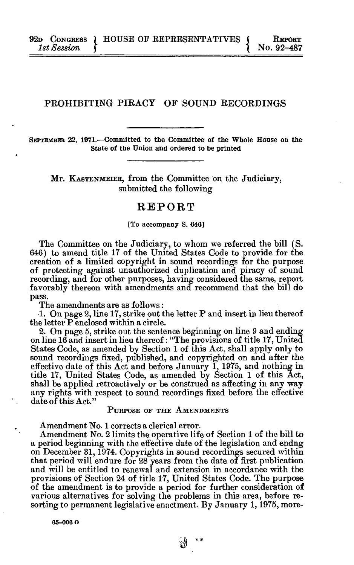**1820** CONGRESS ) HOUSE OF REPRESENTATIVES ( REPORT 1st Session (  $1$ st Session

# **PROHIBITING PIRACY OF SOUND RECORDINGS**

**SEPTEMBER 22, 1971.—Committed to the Committee of the Whole House on the State of the Union and ordered to be printed** 

**Mr. KASTENMETEB , from the Committee on the Judiciary, submitted the following** 

# **REPOR T**

#### **[To accompany S. 646]**

**The Committee on the Judiciary, to whom we referred the bill (S. 646) to amend title 17 of the United States Code to provide for the creation of a limited copyright in sound recordings for the purpose of protecting against unauthorized duplication and piracy of sound recording, and for other purposes, having considered the same, report favorably thereon with amendments and recommend that the bill do pass.** 

**The amendments are as follows:** 

**•1. On page 2, line 17, strike out the letter P and insert in lieu thereof the letter P enclosed within a circle.** 

**2. On page 5, strike out the sentence beginning on line 9 and ending on line 16 and insert in lieu thereof: "The provisions of title 17, United States Code, as amended by Section 1 of this Act, shall apply only to sound recordings fixed, published, and copyrighted on and after the effective date of this Act and before January 1, 1975, and nothing in title 17, United States Code, as amended by Section 1 of this Act, shall be applied retroactively or be construed as affecting in any way any rights with respect to sound recordings fixed before the effective date of this Act."** 

**Amendment No. 1 corrects a clerical error.**  a period beginning with the effective date of the legislation and endng on December 31, 1974. Copyrights in sound recordings secured within that period will endure for 28 years from the date of first publication and will be entitled to renewal and extension in accordance with the provisions of Section 24 of title 17, United States Code. The purpose of the amendment is to provide a period for further consideration of various alternatives for solving the problems in this area, before revarious alternatives for solving the problems in this area, before re**sorting to permanent legislative enactment. By January 1,1975, more-**

**65-00 6 0**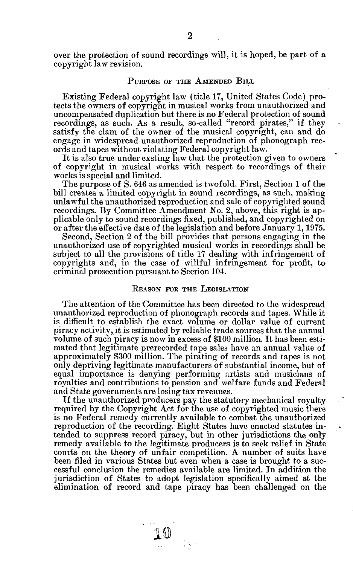**over the protection of sound recordings will, it is hoped, be part of a copyright law revision.** 

# **PURPOS E O F TH E AMENDE D BIL L**

**Existing Federal copyright law (title 17, United States Code) protects the owners of copyright in musical works from unauthorized and uncompensated duplication but there is no Federal protection of sound recordings, as such. As a result, so-called "record pirates," if they**  satisfy the clam of the owner of the musical copyright, can and do **engage in widespread unauthorized reproduction of phonograph records and tapes without violating Federal copyright law.** 

**It is also true under exsting law that the protection given to owners of copyright in musical works with respect to recordings of their works is special and limited.** 

**The purpose of S. 646 as amended is twofold. First, Section 1 of the bill creates a limited copyright in sound recordings, as such, making unlawful the unauthorized reproduction and sale of copyrighted sound recordings. By Committee Amendment No. 2, above, this right is applicable only to sound recordings fixed, published, and copyrighted on or after the effective date of the legislation and before January 1,1975.** 

**Second, Section 2 of the bill provides that persons engaging in the unauthorized use of copyrighted musical works in recordings shall be subject to all the provisions of title 17 dealing with infringement of copyrights and, in the case of willful infringement for profit, to criminal prosecution pursuant to Section 104.** 

# **REASON FOR THE LEGISLATION**

**The attention of the Committee has been directed to the widespread unauthorized reproduction of phonograph records and tapes. While it is difficult to establish the exact volume or dollar value of current piracy activity, it is estimated by reliable trade sources that the annual volume of such piracy is now in excess of \$100 million. It has been estimated that legitimate prerecorded tape sales have an annual value of approximately \$300 million. The pirating of records and tapes is not only depriving legitimate manufacturers of substantial income, but of equal importance is denying performing artists and musicians of royalties and contributions to pension and welfare funds and Federal and State governments are losing tax revenues.** 

**If the unauthorized producers pay the statutory mechanical royalty required by the Copyright Act for the use of copyrighted music there is no Federal remedy currently available to combat the unauthorized reproduction of the recording. Eight States have enacted statutes intended to suppress record piracy, but in other jurisdictions the only remedy available to the legitimate producers is to seek relief in State courts on the theory of unfair competition. A number of suits have been filed in various States but even when a case is brought to a successful conclusion the remedies available are limited. In addition the jurisdiction of States to adopt legislation specifically aimed at the elimination of record and tape piracy has been challenged on the**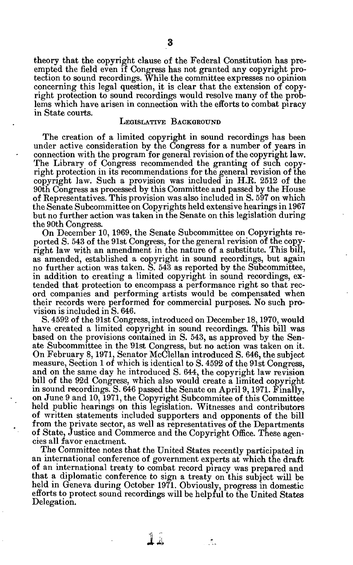**theory that the copyright clause of the Federal Constitution has preempted the field even if Congress has not granted any copyright protection to sound recordings. While the committee expresses no opinion concerning this legal question, it is clear that the extension of copyright protection to sound recordings would resolve many of the problems which have arisen in connection with the efforts to combat piracy in State courts.** 

#### LEGISLATIVE **BACKGROUND**

**The creation of a limited copyright in sound recordings has been under active consideration by the Congress for a number of years in connection with the program for general revision of the copyright law. The Library of Congress recommended the granting of such copyright protection in its recommendations for the general revision of the copyright law. Such a provision was included in H.R. 2512 of the 90th Congress as processed by this Committee and passed by the House of Representatives. This provision was also included in S. 597 on which the Senate Subcommittee on Copyrights held extensive hearings in 1967 but no further action was taken in the Senate on this legislation during the 90th Congress.** 

**On December 10, 1969, the Senate Subcommittee on Copyrights reported S. 543 of the 91st Congress, for the general revision of the copyright law with an amendment in the nature of a substitute. This bill, as amended, established a copyright in sound recordings, but again no further action was taken. S. 543 as reported by the Subcommittee, in addition to creating a limited copyright in sound recordings, extended that protection to encompass a performance right so that record companies and performing artists would be compensated when their records were performed for commercial purposes. No such provision is included in S. 646.** 

**S. 4592 of the 91st Congress, introduced on December 18,1970, would have created a limited copyright in sound recordings. This bill was based on the provisions contained in S. 543, as approved by the Senate Subcommittee in the 91st Congress, but no action was taken on it. On February 8,1971, Senator McClellan introduced S. 646, the subject measure, Section 1 of which is identical to S. 4592 of the 91st Congress, and on the same day he introduced S. 644, the copyright law revision bill of the 92d Congress, which also would create a limited copyright in sound recordings. S. 646 passed the Senate on April 9,1971. Finally, on June 9 and 10,1971, the Copyright Subcommitee of this Committee held public hearings on this legislation. Witnesses and contributors of written statements included supporters and opponents of the bill from the private sector, as well as representatives of the Departments of State, Justice and Commerce and the Copyright Office. These agencies all favor enactment.** 

**The Committee notes that the United States recently participated in an international conference of government experts at which the draft of an international treaty to combat record piracy was prepared and that a diplomatic conference to sign a treaty on this subject will be held in Geneva during October 1971. Obviously, progress in domestic efforts to protect sound recordings will be helpful to the United States Delegation.** 

**II** 

 $\mathcal{L}_{\alpha}$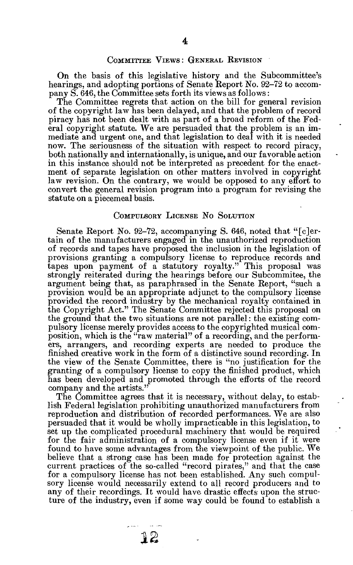**On the basis of this legislative history and the Subcommittee's hearings, and adopting portions of Senate Report No. 92-72 to accompany S. 646, the Committee sets forth its views as follows:** 

**The Committee regrets that action on the bill for general revision of the copyright law has been delayed, and that the problem of record piracy has not been dealt with as part of a broad reform of the Federal copyright statute. We are persuaded that the problem is an immediate and urgent one, and that legislation to deal with it is needed now. The seriousness of the situation with respect to record piracy, both nationally and internationally, is unique, and our favorable action in this instance should not be interpreted as precedent for the enactment of separate legislation on other matters involved in copyright law revision. On the contrary, we would be opposed to any effort to convert the general revision program into a program for revising the statute on a piecemeal basis.** 

#### **COMPULSORY LICENSE NO SOLUTION**

**Senate Report No. 92-72, accompanying S. 646, noted that "[c]ertain of the manufacturers engaged in the unauthorized reproduction of records and tapes have proposed the inclusion in the legislation of provisions granting a compulsory license to reproduce records and tapes upon payment of a statutory royalty." This proposal was strongly reiterated during the hearings before our Subcommitee, the argument being that, as paraphrased in the Senate Report, "such a provision would be an appropriate adjunct to the compulsory license provided the record industry by the mechanical royalty contained in the Copyright Act." The Senate Committee rejected this proposal on the ground that the two situations are not parallel: the existing compulsory license merely provides access to the copyrighted musical composition, which is the "raw material" of a recording, and the performers, arrangers, and recording experts are needed to produce the finished creative work in the form of a distinctive sound recording. In the view of the Senate Committee, there is "no justification for the granting of a compulsory license to copy the finished product, which has been developed and promoted through the efforts of the record company and the artists."** 

**The Committee agrees that it is necessary, without delay, to establish Federal legislation prohibiting unauthorized manufacturers from reproduction and distribution of recorded performances. We are also persuaded that it would be wholly impracticable in this legislation, to set up the complicated procedural machinery that would be required for the fair administration of a compulsory license even if it were found to have some advantages from the viewpoint of the public. We believe that a strong case has been made for protection against the current practices of the so-called "record pirates," and that the case for a compulsory license has not been established. Any such compulsory license would necessarily extend to all record producers and to any of their recordings. It would have drastic effects upon the structure of the industry, even if some way could be found to establish a** 

**IS**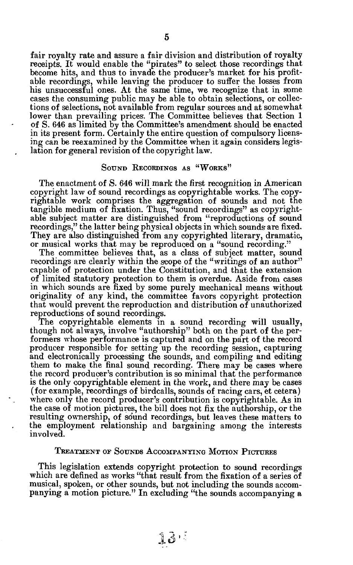**fair royalty rate and assure a fair division and distribution of royalty receipts. It would enable the "pirates" to select those recordings that become hits, and thus to invade the producer's market for his profitable recordings, while leaving the producer to suffer the losses from his unsuccessful ones. At the same time, we recognize that in some cases the consuming public may be able to obtain selections, or collections of selections, not available from regular sources and at somewhat lower than prevailing prices. The Committee believes that Section 1 of S. 646 as limited by the Committee's amendment should be enacted**  in its present form. Certainly the entire question of compulsory licens**ing can be reexamined by the Committee when it again considers legislation for general revision of the copyright law.** 

## **SOUN D RECORDING S A S "WORKS "**

**The enactment of S. 646 will mark the first recognition in American copyright law of sound recordings as copyrightable works. The copyrightable work comprises the aggregation of sounds and not the tangible medium of fixation. Thus, "sound recordings" as copyrightable subject matter are distinguished from "reproductions of sound recordings," the latter being physical objects in which sounds are fixed. They are also distinguished from any copyrighted literary, dramatic, or musical works that may be reproduced on a "sound recording."** 

**The committee believes that, as a class of subject matter, sound recordings are clearly within the scope of the "writings of an author" capable of protection under the Constitution, and that the extension of limited statutory protection to them is overdue. Aside from cases in which sounds are fixed by some purely mechanical means without originality of any kind, the committee favors copyright protection that would prevent the reproduction and distribution of unauthorized reproductions of sound recordings.** 

**The copyrightable elements in a sound recording will usually, though not always, involve "authorship" both on the part of the performers whose performance is captured and on the part of the record producer responsible for setting up the recording session, capturing and electronically processing the sounds, and compiling and editing them to make the final sound recording. There may be cases where the record producer's contribution is so minimal that the performance is the only copyrightable element in the work, and there may be cases (for example, recordings of birdcalls, sounds of racing cars, et cetera) where only the record producer's contribution is copyrightable. As in the case of motion pictures, the bill does not fix the authorship, or the resulting ownership, of sound recordings, but leaves these matters to the employment relationship and bargaining among the interests involved.** 

# **TREATMEN T O F SOUND S ACCOMPANYIN G MOTIO N PICTURE S**

**This legislation extends copyright protection to sound recordings which are defined as works "that result from the fixation of a series of musical, spoken, or other sounds, but not including the sounds accompanying a motion picture." In excluding "the sounds accompanying a**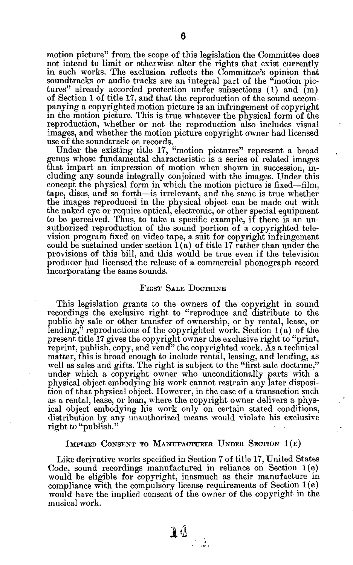**motion picture" from the scope of this legislation the Committee does not intend to limit or otherwise alter the rights that exist currently in such works. The exclusion reflects the Committee's opinion that soundtracks or audio tracks are an integral part of the "motion pictures" already accorded protection under subsections (1) and (m) of Section 1 of title 17, and that the reproduction of the sound accompanying a copyrighted motion picture is an infringement of copyright in the motion picture. This is true whatever the physical form of the reproduction, whether or not the reproduction also includes visual images, and whether the motion picture copyright owner had licensed use of the soundtrack on records.** 

**Under the existing title 17, "motion pictures" represent a broad genus whose fundamental characteristic is a series of related images that impart an impression of motion when shown in succession, including any sounds integrally conjoined with the images. Under this concept the physical form in which the motion picture is fixed—film, tape, discs, and so forth—is irrelevant, and the same is true whether the images reproduced in the physical object can be made out with the naked eye or require optical, electronic, or other special equipment to be perceived. Thus, to take a specific example, if there is an unauthorized reproduction of the sound portion of a copyrighted television program fixed on video tape, a suit for copyright infringement could be sustained under section 1(a) of title 17 rather than under the provisions of this bill, and this would be true even if the television producer had licensed the release of a commercial phonograph record incorporating the same sounds.** 

#### **FII;S T SAL E DOCTRIN E**

**This legislation grants to the owners of the copyright in sound**  recordings the exclusive right to "reproduce and distribute to the **public by sale or other transfer of ownership, or by rental, lease, or**  lending,<sup>3</sup> reproductions of the copyrighted work. Section 1(a) of the present title 17 gives the copyright owner the exclusive right to "print, reprint, publish, copy, and vend<sup>"</sup> the copyrighted work. As a technical **matter, this is broad enough to include rental, leasing, and lending, as well as sales and gifts. The right is subject to the "first sale doctrine," under which a copyright owner who unconditionally parts with a physical object embodying his work cannot restrain any later disposition of that physical object. However, in the case of a transaction such as a rental, lease, or loan, where the copyright owner delivers a physical object embodying his work only on certain stated conditions, distribution by any unauthorized means would violate his exclusive right to "publish."** 

#### **IMPLIED CONSENT TO MANUFACTURER UNDER SECTION 1(E)**

**Like derivative works specified in Section 7 of title 17, United States Code, sound recordings manufactured in reliance on Section 1(e) would be eligible for copyright, inasmuch as their manufacture in compliance with the compulsory license requirements of Section 1(e) would have the implied consent of the owner of the copyright in the musical work.**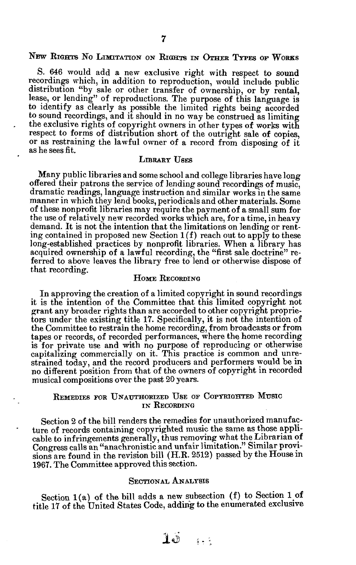# **N E W RIGHT S N O LIMITATIO N O N RIGHT S I N OTHE R TYPE S O P WORK S**

**S. 646 would add a new exclusive right with respect to sound recordings which, in addition to reproduction, would include public distribution "by sale or other transfer of ownership, or by rental, lease, or lending" of reproductions. The purpose of this language is to identify as clearly as possible the limited rights being accorded to sound recordings, and it should in no way be construed as limiting the exclusive rights of copyright owners in other types of works with respect to forms of distribution short of the outright sale of copies, or as restraining the lawful owner of a record from disposing of it as he sees fit.** 

# **LIBRAR Y USE S**

**Many public libraries and some school and college libraries have long offered their patrons the service of lending sound recordings of music, dramatic readings, language instruction and similar works in the same manner in which they lend books, periodicals and other materials. Some of these nonprofit libraries may require the payment of a small sum for the use of relatively new recorded works which are, for a time, in heavy demand. It is not the intention that the limitations on lending or renting contained in proposed new Section 1 (f) reach out to apply to these long-established practices by nonprofit libraries. When a library has acquired ownership of a lawful recording, the "first sale doctrine" referred to above leaves the library free to lend or otherwise dispose of that recording.** 

# **HOME** RECORDING

**In approving the creation of a limited copyright in sound recordings it is the intention of the Committee that this limited copyright not grant any broader rights than are accorded to other copyright proprietors under the existing title 17. Specifically, it is not the intention of the Committee to restrain the home recording, from broadcasts or from tapes or records, of recorded performances, where the home recording is for private use and with no purpose of reproducing or otherwise capitalizing commercially on it. This practice is common and unrestrained today, and the record producers and performers would be in no different position from that of the owners of copyright in recorded musical compositions over the past 20 years.** 

# **REMEDIE S FO R UNAUTHORIZE D US E O F COPYRIGHTE D MUSI C I N RECORDIN G**

**Section 2 of the bill renders the remedies for unauthorized manufacture of records containing copyrighted music the same as those applicable to infringements generally, thus removing what the Librarian of Congress calls an "anachronistic and unfair limitation." Similar provisions are found in the revision bill (H.R. 2512) passed by the House in 1967. The Committee approved this section.** 

# **SECTIONAL ANALYSIS**

**Section 1(a) of the bill adds a new subsection (f) to Section 1 of title 17 of the United States Code, adding to the enumerated exclusive** 

 $10 \dots$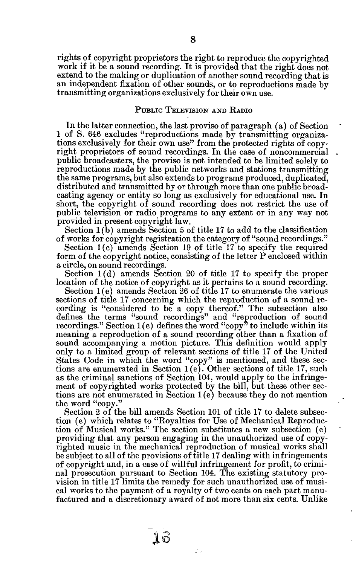**rights of copyright proprietors the right to reproduce the copyrighted**  work if it be a sound recording. It is provided that the right does not **extend to the making or duplication of another sound recording that is an independent fixation of other sounds, or to reproductions made by transmitting organizations exclusively for their own use.** 

# PUBLIC TELEVISION AND RADIO

**In the latter connection, the last proviso of paragraph (a) of Section 1 of S. 646 excludes "reproductions made by transmitting organizations exclusively for their own use" from the protected rights of copyright proprietors of sound recordings. In the case of noncommercial public broadcasters, the proviso is not intended to be limited solely to reproductions made by the public networks and stations transmitting the same programs, but also extends to programs produced, duplicated, distributed and transmitted by or through more than one public broadcasting agency or entity so long as exclusively for educational use. In**  short, the copyright of sound recording does not restrict the use of **public television or radio programs to any extent or in any way not provided in present copyright law.** 

**Section 1(b) amends Section 5 of title 17 to add to the classification of works for copyright registration the category of "sound recordings."** 

**Section 1(c) amends Section 19 of title 17 to specify the required form of the copyright notice, consisting of the letter P enclosed within a circle, on sound recordings.** 

**Section 1(d) amends Section 20 of title 17 to specify the proper location of the notice of copyright as it pertains to a sound recording.** 

**Section 1(e) amends Section 26 of title 17 to enumerate the various sections of title 17 concerning which the reproduction of a sound recording is "considered to be a copy thereof." The subsection also defines the terms "sound recordings" and "reproduction of sound recordings." Section 1 (e) defines the word "copy" to include within its meaning a reproduction of a sound recording other than a fixation of sound accompanying a motion picture. This definition would apply only to a limited group of relevant sections of title 17 of the United States Code in which the word "copy" is mentioned, and these sections are enumerated in Section 1(e). Other sections of title 17, such as the criminal sanctions of Section 104, would apply to the infringement of copyrighted works protected by the bill, but these other sections are not enumerated in Section 1(e) because they do not mention the word "copy."** 

**Section 2 of the bill amends Section 101 of title 17 to delete subsection (e) which relates to "Royalties for Use of Mechanical Reproduction of Musical works." The section substitutes a new subsection (e) providing that any person engaging in the unauthorized use of copyrighted music in the mechanical reproduction of musical works shall be subject to all of the provisions of title 17 dealing with infringements of copyright and, in a case of willful infringement for profit, to criminal prosecution pursuant to Section 104. The existing statutory provision in title 17 limits the remedy for such unauthorized use of musical works to the payment of a royalty of two cents on each part manufactured and a discretionary award of not more than six cents. Unlike** 

 $\varphi^{\prime}$  is

**AS**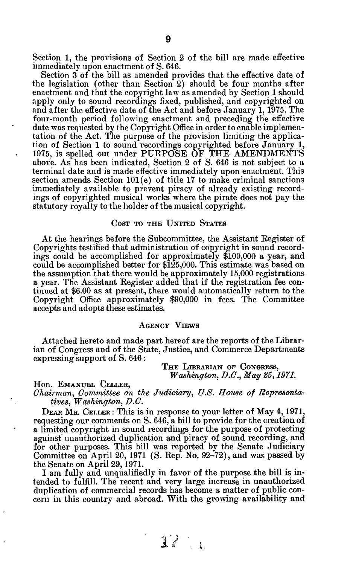**Section 1, the provisions of Section 2 of the bill are made effective immediately upon enactment of S. 646.** 

**Section 3 of the bill as amended provides that the effective date of the legislation (other than Section 2) should be four months after enactment and that the copyright law as amended by Section 1 should apply only to sound recordings fixed, published, and copyrighted on and after the effective date of the Act and before January 1,1975. The four-month period following enactment and preceding the effective date was requested by the Copyright Office in order to enable implementation of the Act. The purpose of the provision limiting the application of Section 1 to sound recordings copyrighted before January 1, 1975, is spelled out under PURPOSE OF THE AMENDMENTS above. As has been indicated, Section 2 of S. 646 is not subject to a terminal date and is made effective immediately upon enactment. This section amends Section 101 (e) of title 17 to make criminal sanctions immediately available to prevent piracy of already existing recordings of copyrighted musical works where the pirate does not pay the statutory royalty to the holder of the musical copyright.** 

## $Cosr$  *TO THE UNITED STATES*

**At the hearings before the Subcommittee, the Assistant Register of Copyrights testified that administration of copyright in sound recordings could be accomplished for approximately \$100,000 a year, and could be accomplished better for \$125,000. This estimate was based on the assumption that there would be approximately 15,000 registrations a year. The Assistant Register added that if the registration fee continued at \$6.00 as at present, there would automatically return to the Copyright Office approximately \$90,000 in fees. The Committee accepts and adopts these estimates.** 

# AGENCY VIEWS

**Attached hereto and made part hereof are the reports of the Librarian of Congress and of the State, Justice, and Commerce Departments expressing support of S. 646:** 

> $T$ HE LIBRARIAN OF CONGRESS, *Washington, B.C., May 85,1971.*

**Hon. EMANUEL CELLER,** 

*Chairman, Committee on the Judiciary, U.S. House of Representatives, Washington, D.C.* 

**DEAR MR.** CELLER: This is in response to your letter of May 4, 1971, **requesting our comments on S. 646, a bill to provide for the creation of a limited copyright in sound recordings for the purpose of protecting against unauthorized duplication and piracy of sound recording, and for other purposes. This bill was reported by the Senate Judiciary Committee on April 20, 1971 (S. Rep. No. 92-72), and was passed by the Senate on April 29,1971.** 

**I am fully and unqualifiedly in favor of the purpose the bill is intended to fulfill. The recent and very large increase in unauthorized duplication of commercial records has become a matter of public concern in this country and abroad. With the growing availability and**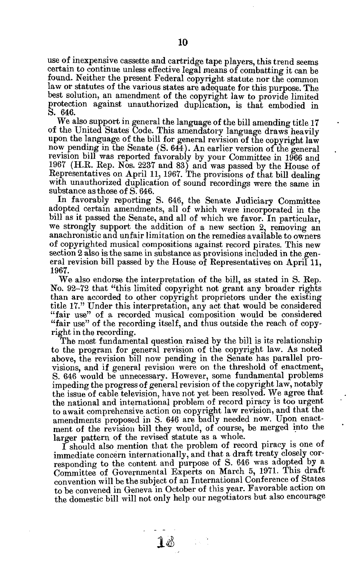**use of inexpensive cassette and cartridge tape players, this trend seems certain to continue unless effective legal means of combatting it can be found. Neither the present Federal copyright statute nor the common law or statutes of the various states are adequate for this purpose. The best solution, an amendment of the copyright law to provide limited protection against unauthorized duplication, is that embodied in S. 646.** 

**We also support in general the language of the bill amending title 17 of the United States Code. This amendatory language draws heavily upon the language of the bill for general revision of the copyright law now pending in the Senate (S. 644). An earlier version of the general revision bill was reported favorably by your Committee in 1966 and 1967 (H.R. Rep. Nos. 2237 and 83) and was passed by the House of Representatives on April 11,1967. The provisions of that bill dealing with unauthorized duplication of sound recordings were the same in substance as those of S. 646.** 

**In favorably reporting S. 646, the Senate Judiciary Committee adopted certain amendments, all of which were incorporated in the bill as it passed the Senate, and all of which we favor. In particular, we strongly support the addition of a new section 2, removing an anachronistic and unfair limitation on the remedies available to owners of copyrighted musical compositions against record pirates. This new section 2 also is the same in substance as provisions included in the general revision bill passed by the House of Representatives on April 11, 1967.** 

**We also endorse the interpretation of the bill, as stated in S. Rep. No. 92-72 that "this limited copyright not grant any broader rights than are accorded to other copyright proprietors under the existing title 17." Under this interpretation, any act that would be considered "fair use" of a recorded musical composition would be considered "fair use" of the recording itself, and thus outside the reach of copyright in the recording.** 

**The most fundamental question raised by the bill is its relationship to the program for general revision of the copyright law. As noted above, the revision bill now pending in the Senate has parallel provisions, and if general revision were on the threshold of enactment, S. 646 would be unnecessary. However, some fundamental problems impeding the progress of general revision of the copyright law, notably the issue of cable television, have not yet been resolved. We agree that the national and international problem of record piracy is too urgent to await comprehensive action on copyright law revision, and that the amendments proposed in S. 646 are badly needed now. Upon enactment of the revision bill they would, of course, be merged into the larger pattern of the revised statute as a whole.** 

**I should also mention that the problem of record piracy is one of immediate concern internationally, and that a draft treaty closely corresponding to the content and purpose of S. 646 was adopted by a Committee of Governmental Experts on March 5, 1971. This draft convention will be the subject of an International Conference of States to be convened in Geneva in October of this year. Favorable action on the domestic bill will not only help our negotiators but also encourage** 

 $\mathbf{1}$ ේ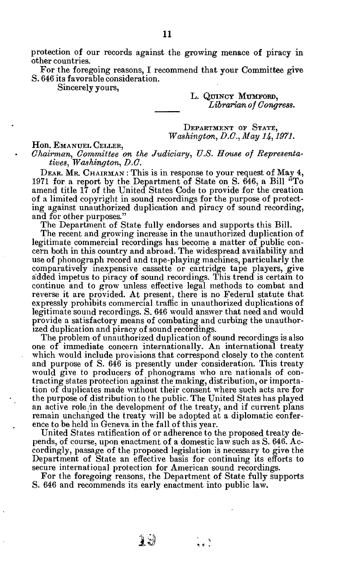**protection of our records against the growing menace of piracy in other countries.** 

**For the foregoing reasons, I recommend that your Committee give S. 646 its favorable consideration.** 

**Sincerely yours,** 

**L. QTJINC Y MTJMFORD ,**  *Librarian of Congress.* 

**DEPARTMENT OF STATE,** *Washington, D.C., May H, 1971.* 

## **Hon. EMANUE L CELLER ,**

*Chairman, Committee on the Judiciary, U.S. House of Representatives, Washington, D.C.* 

**DEAR . MR . CHAIRMA <sup>N</sup> : This is in response to your request of May 4, 1971 for a report by the Department of State on S. 646, a Bill "To amend title 17 of the United States Code to provide for the creation of a limited copyright in sound recordings for the purpose of protecting against unauthorized duplication and piracy of sound recording, and for other purposes."** 

**The Department of State fully endorses and supports this Bill.** 

**The recent and growing increase in the unauthorized duplication of legitimate commercial recordings has become a matter of public concern both in this country and abroad. The widespread availability and use of phonograph record and tape-playing machines, particularly the comparatively inexpensive cassette or cartridge tape players, give added impetus to piracy of sound recordings. This trend is certain to continue and to grow unless effective legal methods to combat and reverse it are provided. At present, there is no Federal statute that expressly prohibits commercial traffic in unauthorized duplications of legitimate sound recordings. S. 646 would answer that need and would provide a satisfactory means of combating and curbing the unauthorized duplication and piracy of sound recordings.** 

**The problem of unauthorized duplication of sound recordings is also one of immediate concern internationally. An international treaty which would include provisions that correspond closely to the content and purpose of S. 646 is presently under consideration. This treaty would give to producers of phonograms who are nationals of contracting states protection against the making, distribution, or importation of duplicates made without their consent where such acts are for the purpose of distribution to the public. The United States has played an active role in the development of the treaty, and if current plans remain unchanged the treaty will be adopted at a diplomatic conference to be held in Geneva in the fall of this year.** 

**United States ratification of or adherence to the proposed treaty depends, of course, upon enactment of a domestic law such as S. 646. Accordingly, passage of the proposed legislation is necessary to give the Department of State an effective basis for continuing its efforts to secure international protection for American sound recordings.** 

**For the foregoing reasons, the Department of State fully supports S. 646 and recommends its early enactment into public law.** 

 $\mathcal{X} \cup \mathcal{Y}$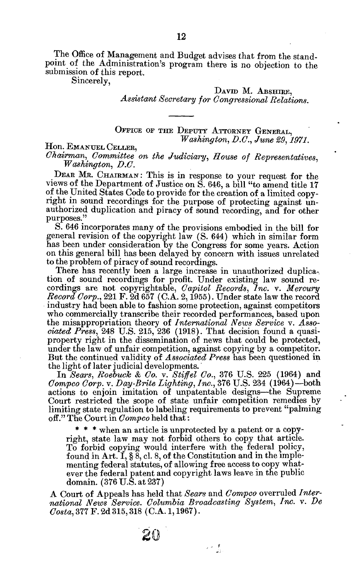**The Office of Management and Budget advises that from the standpoint of the Administration's program there is no objection to the submission of this report.** 

**Sincerely,** 

DAVID M. ABSHIRE, *Assistant Secretary for Congressional Relations.* 

**OFFIC E O F TH E DEPUT Y ATTORNE Y GENERAL ,**  *Washington, D.C., June 29, 1971.* 

**Hon. EMANUE L CELLER ,**  *Ch airman, Committee on the Judiciary, House of Representatives, Washington, B.C.* 

**DEA R MR . CHAIRMA <sup>N</sup> : This is in response to your request for the views of the Department of Justice on S. 646, a bill "to amend title 17 of the United States Code to provide for the creation of a limited copyright in sound recordings for the purpose of protecting against unauthorized duplication and piracy of sound recording, and for other purposes."** 

**S. 646 incorporates many of the provisions embodied in the bill for general revision of the copyright law (S. 644) which in similar form has been under consideration by the Congress for some years. Action on this general bill has been delayed by concern with issues unrelated to the problem of piracy of sound recordings.** 

**There has recently been a large increase in unauthorized duplication of sound recordings for profit. Under existing law sound recordings are not copyrightable,** *Capitol Records, Inc.* **v.** *Mercury Record Corp.,* **221 F. 2d 657 (C.A. 2,1955). Under state law the record industry had been able to fashion some protection, against competitors who commercially transcribe their recorded performances, based upon the misappropriation theory of** *International News Service* **v.** *Associated Press,* **248 U.S. 215, 236 (1918). That decision found a quasiproperty right in the dissemination of news that could be protected, under the law of unfair competition, against copying by a competitor. But the continued validity of** *Associated Press* **has been questioned in the light of later judicial developments.** 

**In** *Sears, Roebuck & Co.* **v.** *Stiffel Co.,* **376 U.S. 225 (1964) and**  *Compco Corp.* **v.** *Bay-Brite Lighting, Inc.,* **376 U.S. 234 (1964)—both actions to enjoin imitation of unpatentable designs—the Supreme Court restricted the scope of state unfair competition remedies by limiting state regulation to labeling requirements to prevent "palming off." The Court in** *Compco* **held that:** 

**\* \* \* when an article is unprotected by a patent or a copyright, state law may not forbid others to copy that article. To forbid copying would interfere with the federal policy, found in Art. I, § 8, cl. 8, of the Constitution and in the implementing federal statutes, of allowing free access to copy whatever the federal patent and copyright laws leave in the public domain. (376 U.S. at 237)** 

**A Court of Appeals has held that** *Sears* **and** *Compco* **overruled** *International News Service. Columbia Broadcasting System, Inc.* **v.** *Be Costa,* **377 F. 2d 315,318 (C.A. 1,1967).** 

기자 혼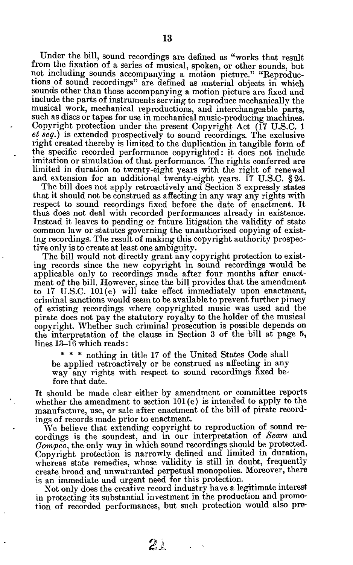**Under the bill, sound recordings are defined as "works that result from the fixation of a series of musical, spoken, or other sounds, but not including sounds accompanying a motion picture." "Reproductions of sound recordings" are defined as material objects in which sounds other than those accompanying a motion picture are fixed and include the parts of instruments serving to reproduce mechanically the musical work, mechanical reproductions, and interchangeable parts, such as discs or tapes for use in mechanical music-producing machines. Copyright protection under the present Copyright Act (17 U.S.C. 1**  *et seq.)* **is extended prospectively to sound recordings. The exclusive right created thereby is limited to the duplication in tangible form of the specific recorded performance copyrighted: it does not include imitation or simulation of that performance. The rights conferred are limited in duration to twenty-eight years with the right of renewal and extension for an additional twenty-eight years. 17 U.S.C. §24.** 

**The bill does not apply retroactively and Section 3 expressly states that it should not be construed as affecting in any way any rights with respect to sound recordings fixed before the date of enactment. It thus does not deal with recorded performances already in existence. Instead it leaves to pending or future litigation the validity of state common law or statutes governing the unauthorized copying of existing recordings. The result of making this copyright authority prospective only is to create at least one ambiguity.** 

**The bill would not directly grant any copyright protection to existing records since the new copyright in sound recordings would be applicable only to recordings made after four months after enactment of the bill. However, since the bill provides that the amendment to 17 U.S.C. 101(e) will take effect immediately upon enactment, criminal sanctions would seem to be available to prevent further piracy of existing recordings where copyrighted music was used and the pirate does not pay the statutory royalty to the holder of the musical copyright. Whether such criminal prosecution is possible depends on the interpretation of the clause in Section 3 of the bill at page 5, lines 13-16 which reads:** 

**\* \* \* nothing in title 17 of the United States Code shall be applied retroactively or be construed as affecting in any way any rights with respect to sound recordings fixed before that date.** 

**It should be made clear either by amendment or committee reports whether the amendment to section 101(e) is intended to apply to the manufacture, use, or sale after enactment of the bill of pirate recordings of records made prior to enactment.** 

**We believe that extending copyright to reproduction of sound recordings is the soundest, and in our interpretation of** *Sears* **and**  *Compco,* **the only way in which sound recordings should be protected. Copyright protection is narrowly defined and limited in duration, whereas state remedies, whose validity is still in doubt, frequently create broad and unwarranted perpetual monopolies. Moreover, there is an immediate and urgent need for this protection.** 

**Xot only does the creative record industry have a legitimate interest in protecting its substantial investment in the production and promotion of recorded performances, but such protection would also pre-**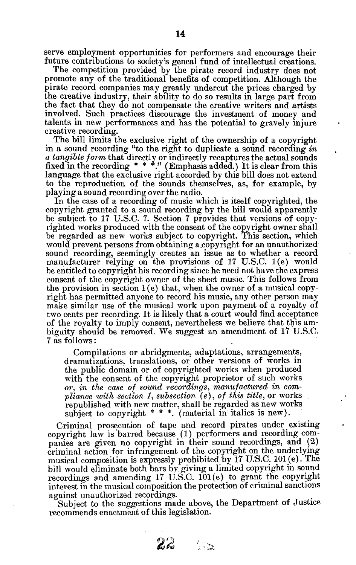**serve employment opportunities for performers and encourage their future contributions to society's geneal fund of intellectual creations.** 

**The competition provided by the pirate record industry does not promote any of the traditional benefits of competition. Although the pirate record companies may greatly undercut the prices charged by the creative industry, their ability to do so results in large part from the fact that they do not compensate the creative writers and artists involved. Such practices discourage the investment of money and talents in new performances and has the potential to gravely injure creative recording.** 

**The bill limits the exclusive right of the ownership of a copyright in a sound recording "to the right to duplicate a sound recording** *in a tangible form* **that directly or indirectly recaptures the actual sounds fixed in the recording \* \* \*." (Emphasis added.) It is clear from this language that the exclusive right accorded by this bill does not extend to the reproduction of the sounds themselves, as, for example, by playing a sound recording over the radio.** 

**In the case of a recording of music which is itself copyrighted, the copyright granted to a sound recording by the bill would apparently be subject to 17 U.S.C. 7. Section 7 provides that versions of copyrighted works produced with the consent of the copyright owner shall be regarded as new works subject to copyright. This section, which would prevent persons from obtaining a.copy right for an unauthorized sound recording, seemingly creates an issue as to whether a record manufacturer relying on the provisions of 17 U.S.C. 1(e) would be entitled to copyright his recording since he need not have the express consent of the copyright owner of the sheet music. This follows from the provision in section 1(e) that, when the owner of a musical copyright has permitted anyone to record his music, any other person may make similar use of the musical work upon payment of a royalty of two cents per recording. It is likely that a court would find acceptance of the royalty to imply consent, nevertheless we believe that this ambiguity should be removed. We suggest an amendment of 17 U.S.C. 7 as follows: .** 

**Compilations or abridgments, adaptations, arrangements, dramatizations, translations, or other versions of works in the public domain or of copyrighted works when produced with the consent of the copyright proprietor of such works**  *or, in the case of sound recordings, manufactured in compliance with section J, subsection (e), of this title,* **or works republished with new matter, shall be regarded as new works subject to copyright \* \* \*. (material in italics is new).** 

**Criminal prosecution of tape and record pirates under existing copyright law is barred because (1) performers and recording companies are given no copyright in their sound recordings, and (2) criminal action for infringement of the copyright on the underlying musical composition is expressly prohibited by 17 U.S.C. 101(e). The bill would eliminate both bars by giving a limited copyright in sound recordings and amending 17 U.S.C. 101(e) to grant the copyright interest in the musical composition the protection of criminal sanctions against unauthorized recordings.** 

**Subject to the suggestions made above, the Department of Justice recommends enactment of this legislation.** 

 $\sum_{n=1}^{n}$ 

 $22-$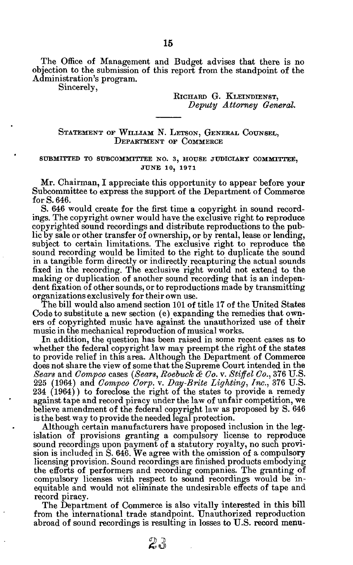**The Office of Management and Budget advises that there is no objection to the submission of this report from the standpoint of the Administration's program.** 

**Sincerely,** 

RICHARD G. KLEINDIENST, *Deputy Attorney General.* 

# STATEMENT OF WILLIAM N. LETSON, GENERAL COUNSEL, **DEPARTMEN T O F COMMERC E**

## **SUBMITTE D T O SUBCOMMITTE E NO . 3 , HOUS E JUDICIAR Y COMMITTEE , JUN E 10 , 197 1**

**Mr. Chairman, I appreciate this opportunity to appear before your Subcommittee to express the support of the Department of Commerce for S. 646.** 

**S. 646 would create for the first time a copyright in sound recordings. The copyright owner would have the exclusive right to reproduce copyrighted sound recordings and distribute reproductions to the public by sale or other transfer of ownership, or by rental, lease or lending, subject to certain limitations. The exclusive right to reproduce the sound recording would be limited to the right to duplicate the sound in a tangible form directly or indirectly recapturing the actual sounds fixed in the recording. The exclusive right would not extend to the making or duplication of another sound recording that is an independent fixation of other sounds, or to reproductions made by transmitting organizations exclusively for their own use.** 

**The bill would also amend section 101 of title 17 of the United States Code to substitute a new section (e) expanding the remedies that owners of copyrighted music have against the unauthorized use of their music in the mechanical reproduction of musical works.** 

**In addition, the question has been raised in some recent cases as to whether the federal copyright law may preempt the right of the states to provide relief in this area. Although the Department of Commerce does not share the view of some that the Supreme Court intended in the**  *Sears* **and** *Compco* **cases** *(Sears, Roebuck & Co.* **v.** *Stiff el Co.,* **376 U.S. 225 (1964) and** *Compco Corp.* **v.** *Day-Brite Lighting, Inc.,* **376 U.S. 234 (1964)) to foreclose the right of the states to provide a remedy against tape and record piracy under the law of unfair competition, we believe amendment of the federal copyright law as proposed by S. 646 is the best way to provide the needed legal protection.** 

**Although certain manufacturers have proposed inclusion in the legislation of provisions granting a compulsory license to reproduce sound recordings upon payment of a statutory royalty, no such provision is included in S. 646. We agree with the omission of a compulsory licensing provision. Sound recordings are finished products embodying the efforts of performers and recording companies. The granting of compulsory licenses with respect to sound recordings would be inequitable and would not eliminate the undesirable effects of tape and record piracy.** 

**The Department of Commerce is also vitally interested in this bill from the international trade standpoint. Unauthorized reproduction abroad of sound recordings is resulting in losses to U.S. record menu-**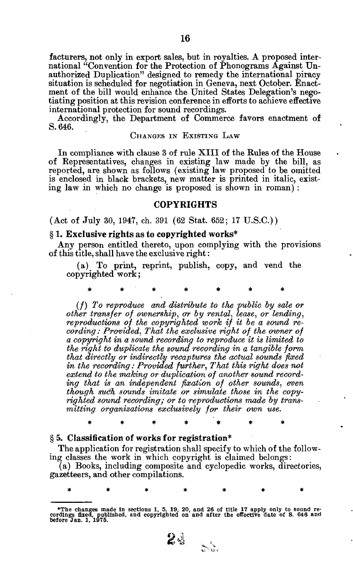**facturers, not only in export sales, but in royalties. A proposed international "Convention for the Protection of Phonograms Against Unauthorized Duplication" designed to remedy the international piracy situation is scheduled for negotiation in Geneva, next October. Enactment of the bill would enhance the United States Delegation's negotiating position at this revision conference in efforts to achieve effective international protection for sound recordings.** 

**Accordingly, the Department of Commerce favors enactment of S. 646.** 

## **CHANGE S I N EXISTIN G LA W**

**In compliance with clause 3 of rule XIII of the Rules of the House of Representatives, changes in existing law made by the bill, as reported, are shown as follows (existing law proposed to be omitted is enclosed in black brackets, new matter is printed in italic, existing law in which no change is proposed is shown in roman) :** 

# **COPYRIGHTS**

(Act of July 30, 1947, ch. 391 (62 Stat. 652; 17 U.S.C.))

#### **§ 1. Exclusive rights as to copyrighted works\***

**Any person entitled thereto, upon complying with the provisions of this title, shall have the exclusive right:** 

**(a) To print, reprint, publish, copy, and vend the copyrighted work;** 

**\* \* \* \* \*** *\* \** 

*(/) To reproduce and distribute to the public by sale or other transfer of ownership, or by rental, lease, or lending, reproductions of the copyrighted work if it be a sound recording : Provided, That the exclusive right of the owner of a copyright in a sownd recording to reproduce it is limited to the right to duplicate the sound recording in a tangible form that directly or indirectly recaptures the actual sounds fixed in the recording: Provided further, That this right does not extend to the making or duplication of another sound recording that is an independent fixation of other sounds, even though sudh sounds imitate or simulate those in the copyrighted sound recording; or to reproductions made by transmitting organizations exclusively for their own use.* 

*\*\*\*\*\*\* \** 

*\*\*\*\*\*\* \** 

# § 5. **Classification of works for registration\***

**The application for registration shall specify to which of the following classes the work in which copyright is claimed belongs:** 

**(a) Books, including composite and cyclopedic works, directories, gazetteers, and other compilations.** 



**<sup>•</sup>The changes made In sections 1, 5, 19, 20, and 26 of title 17 apply only to sound re-cordings fixed, published, and copyrighted on and after the effective date of S. 646 and before Jan. 1, 1975.**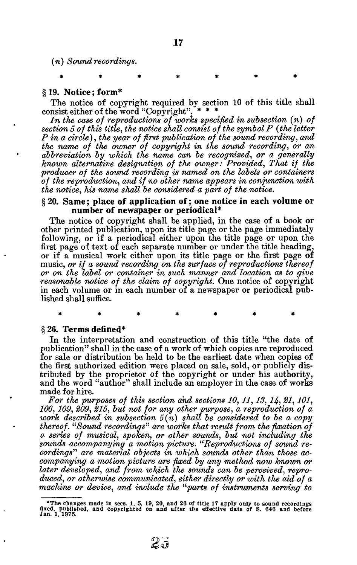*(n) Sound recordings.* 

*\*\*\*\*\*\* \** 

## **§ 19. Notice; form\***

The notice of copyright required by section 10 of this title shall noist either of the word "Convenight"  $***$ consist either of the word "Copyright".

*In the case of reproductions of works specified in subsection (n) of section 5 of this title, the notice shall consist of the symbol P (the letter P in a circle), the year of first publication of the sound recording, and the name of the owner of copyright im, the sound recording, or an abbreviation by which the name can be recognized, or a generally known alternative designation of the owner: Provided, That if the producer of the sound recording is named on the labels or containers of the reproduction, and if no other name appears in conjunction with the notice, his name shall be considered a part of the notice.* 

# **§ 20. Same; place of application of; one notice in each volume or number of newspaper or periodical\***

**The notice of copyright shall be applied, in the case of a book or other printed publication, upon its title page or the page immediately following, or if a periodical either upon the title page or upon the first page of text of each separate number or under the title heading, or if a musical work either upon its title page or the first page of music,** *or if a sound recording on the surface of reproductions thereof or on the label or container in such manner and location as to give reasonable notice of the claim of copyright.* **One notice of copyright in each volume or in each number of a newspaper or periodical published shall suffice.** 

*\*\*\*\*\*\* \** 

# **§26. Terms defined\***

**In the interpretation and construction of this title "the date of publication" shall in the case of a work of which copies are reproduced for sale or distribution be held to be the earliest date when copies of the first authorized edition were placed on sale, sold, or publicly distributed by the proprietor of the copyright or under his authority, and the word "author" shall include an employer in the case of works made for hire.** 

*For the purposes of this section and sections 10,11,13, 14, 21, 101, 106,109, 209, 215, but not for any other purpose, a reproduction of a work described in subsection 5(n) shall be considered to be a copy thereof. "Sound recordings" are works that result from the fixation of a series of musical, spoken, or other sounds, but not including the sounds accompanying a motion picture. "Reproductions of sound recordings" are material objects in which sounds other than those accompanying a motion picture are fixed by any method now known or later developed, and from which the sounds can be perceived, reproduced, or otherwise communicated, either directly or with the aid of a machine or device, and include the "parts of instruments serving to* 

**<sup>•</sup>The changes made in sees. 1, 5, 19, 20, and 26 of title 17 apply only to sound recordings fixed, published, and copyrighted on and after the effective date of S. 646 and before Jan. 1, 1975.**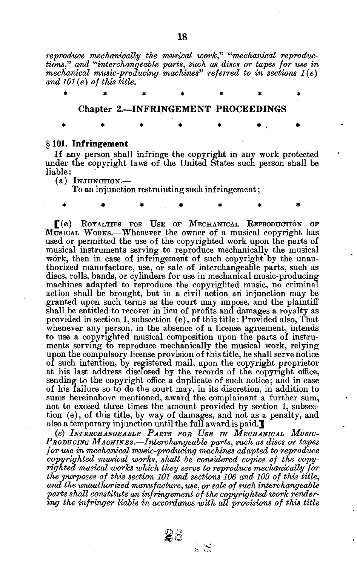*reproduce mechanically the musical work," "mechanical reproductions," and "interchangeable parts, such as discs or tapes for use in mechanical music-producing machines" referred to in sections 1(e) and 101 (e) of this title.* 

|  | Chapter 2.-INFRINGEMENT PROCEEDINGS |  |  |
|--|-------------------------------------|--|--|
|  |                                     |  |  |

## **§101. Infringement**

**If any person shall infringe the copyright in any work protected under the copyright laws of the United States such person shall be liable:** 

\* \* "\* \* \* *\** \*

**(a) INJUNCTION. —** 

**To an injunction restrainting such infringement;** 

 $\Gamma$ (e) ROYALTIES FOR USE OF MECHANICAL REPRODUCTION OF **MUSICA <sup>L</sup> WORKS.—Whenever the owner of a musical copyright has used or permitted the use of the copyrighted work upon the parts of musical instruments serving to reproduce mechanically the musical work, then in case of infringement of such copyright by the unauthorized manufacture, use, or sale of interchangeable parts, such as discs, rolls, bands, or cylinders for use in mechanical music-producing machines adapted to reproduce the copyrighted music, no criminal action shall be brought, but in a civil action ah injunction may be granted upon such terms as the court may impose, and the plaintiff shall be entitled to recover in lieu of profits and damages a royalty as provided in section 1, subsection (e), of this title: Provided also, That whenever any person, in the absence of a license agreement, intends to use a copyrighted musical composition upon the parts of instruments serving to reproduce mechanically the musical work, relying upon the compulsory license provision of this title, he shall serve notice of such intention, by registered mail, upon the copyright proprietor at his last address disclosed by the records of the copyright office, sending to the copyright office a duplicate of such notice; and in case of his failure so to do the court may, in its discretion, in addition to sums hereinabove mentioned, award the complainant a further sum, not to exceed three times the amount provided by section 1, subsection (e), of this title, by way of damages, and not as a penalty, and also a temporary injunction until the full award is paid.]** 

**(e)** *INTERCHANGEABLE PASTS FOB USE IN MECHANICAL MUSIC-PBODUCINO MACHINES.***—***Interchangeable parts, such as discs or tapes for use in mechanical music-producing machines adapted to reproduce copyrighted musical works, shall be considered copies of the copyrighted musical works which they serve to reproduce mechanically for the purposes of this section 101 and sections 106 and 109 of this title, and the unauthorized manufacture, use, or sale of such interchangeable parts shall constitute an infringement of the copyrighted work render*ing the infringer liable in accordance with all provisions of this title

26

 $\frac{1}{2}$